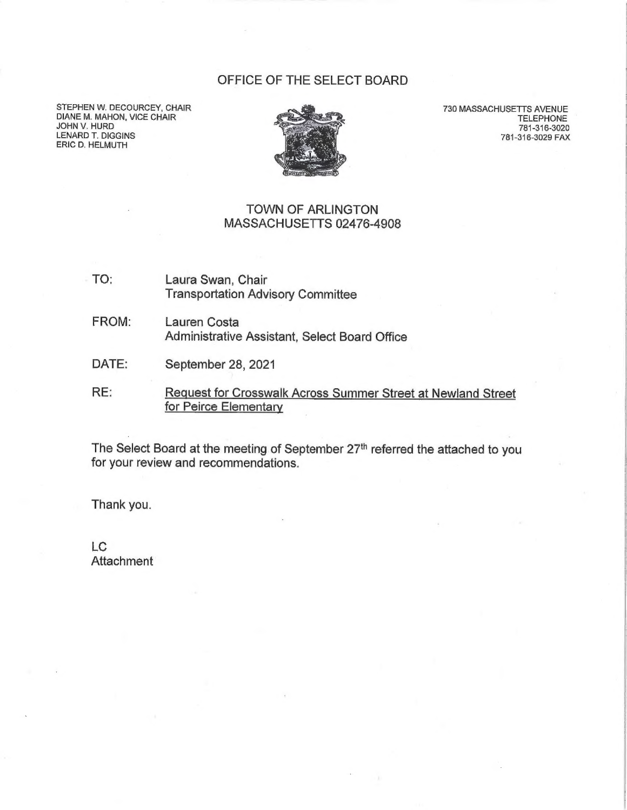## OFFICE OF THE SELECT BOARD

STEPHEN W. DECOURCEY, CHAIR DIANE M. MAHON, VICE CHAIR JOHN V. HURD LENARD T. DIGGINS ERIC D. HELMUTH



730 MASSACHUSETTS AVENUE TELEPHONE 781-316-3020 781-316-3029 FAX

## TOWN OF ARLINGTON MASSACHUSETTS 02476-4908

- TO: Laura Swan, Chair Transportation Advisory Committee
- FROM: Lauren Costa Administrative Assistant, Select Board Office
- DATE: September 28, 2021
- RE: Request for Crosswalk Across Summer Street at Newland Street for Peirce Elementary

The Select Board at the meeting of September 27<sup>th</sup> referred the attached to you for your review and recommendations.

Thank you.

LC **Attachment**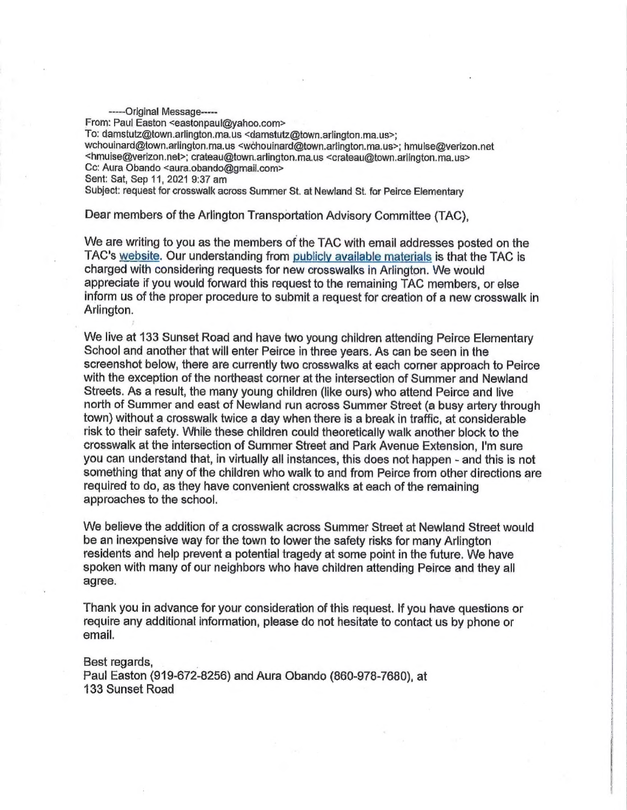-----Original Message----- From: Paul Easton <eastonpaul@yahoo.com> To: damstutz@town.arlington.ma.us <damstutz@town.arlington.ma.us>; wehouinard@town.arlington.ma.us <w¢éhouinard@town.arlington.ma.us>; hmuise@verizon.net <hmuise@verizon.net>; crateau@town.arlington.ma.us <crateau@town.arlington.ma.us> Cc: Aura Obando <aura.obando@gmail.com> Sent: Sat, Sep 11, 2021 9:37 am Subject: request for crosswalk across Summer St. at Newland St. for Peirce Elementary

Dear members of the Arlington Transportation Advisory Committee (TAC),

We are writing to you as the members of the TAC with email addresses posted on the TAC's website. Our understanding from publicly available materials is that the TAC is charged with considering requests for new crosswalks in Arlington. We would appreciate if you would forward this request to the remaining TAC members, or else inform us of the proper procedure to submit a request for creation of a new crosswalk in Arlington.

We live at 133 Sunset Road and have two young children attending Peirce Elementary School and another that will enter Peirce in three years. As can be seen in the screenshot below, there are currently two crosswalks at each corner approach to Peirce with the exception of the northeast corner at the intersection of Summer and Newland Streets. As a result, the many young children (like ours) who attend Peirce and live north of Summer and east of Newland run across Summer Street (a busy artery through town) without a crosswalk twice a day when there is a break in traffic, at considerable risk to their safety. While these children could theoretically walk another block to the crosswalk at the intersection of Summer Street and Park Avenue Extension, I'm sure you can understand that, in virtually all instances, this does not happen - and this is not something that any of the children who walk to and from Peirce from other directions are required to do, as they have convenient crosswalks at each of the remaining approaches to the school.

We believe the addition of a crosswalk across Summer Street at Newland Street would be an inexpensive way for the town to lower the safety risks for many Arlington residents and help prevent a potential tragedy at some point in the future. We have spoken with many of our neighbors who have children attending Peirce and they all agree,

Thank you in advance for your consideration of this request. If you have questions or require any additional information, please do not hesitate to contact us by phone or email.

Best regards, Paul Easton (919-672-8256) and Aura Obando (860-978-7680), at 133 Sunset Road